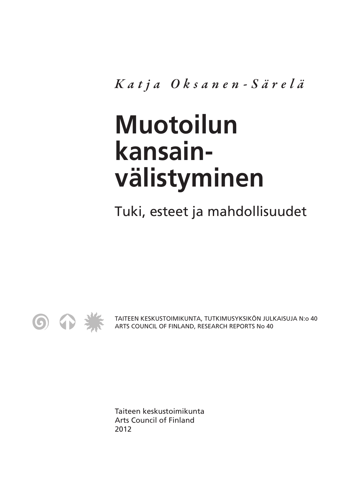*Katja Oksanen-Särelä*

# **Muotoilun kansainvälistyminen**

Tuki, esteet ja mahdollisuudet



TAITEEN KESKUSTOIMIKUNTA, TUTKIMUSYKSIKÖN JULKAISUJA N:o 40 ARTS COUNCIL OF FINLAND, RESEARCH REPORTS No 40

Taiteen keskustoimikunta Arts Council of Finland 2012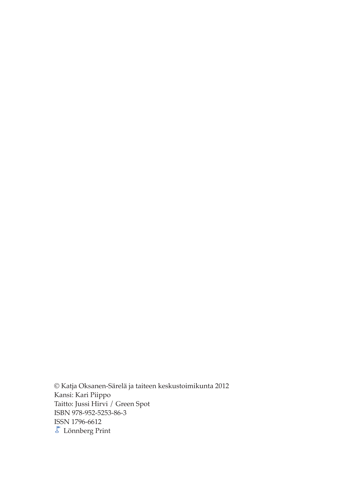© Katja Oksanen-Särelä ja taiteen keskustoimikunta 2012 Kansi: Kari Piippo Taitto: Jussi Hirvi / Green Spot ISBN 978-952-5253-86-3 ISSN 1796-6612  $\overline{\mathcal{E}}$ Lönnberg Print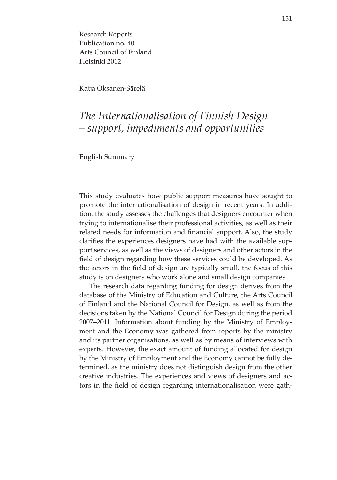Research Reports Publication no. 40 Arts Council of Finland Helsinki 2012

Katja Oksanen-Särelä

## *The Internationalisation of Finnish Design – support, impediments and opportunities*

English Summary

This study evaluates how public support measures have sought to promote the internationalisation of design in recent years. In addition, the study assesses the challenges that designers encounter when trying to internationalise their professional activities, as well as their related needs for information and financial support. Also, the study clarifies the experiences designers have had with the available support services, as well as the views of designers and other actors in the field of design regarding how these services could be developed. As the actors in the field of design are typically small, the focus of this study is on designers who work alone and small design companies.

The research data regarding funding for design derives from the database of the Ministry of Education and Culture, the Arts Council of Finland and the National Council for Design, as well as from the decisions taken by the National Council for Design during the period 2007–2011. Information about funding by the Ministry of Employment and the Economy was gathered from reports by the ministry and its partner organisations, as well as by means of interviews with experts. However, the exact amount of funding allocated for design by the Ministry of Employment and the Economy cannot be fully determined, as the ministry does not distinguish design from the other creative industries. The experiences and views of designers and actors in the field of design regarding internationalisation were gath-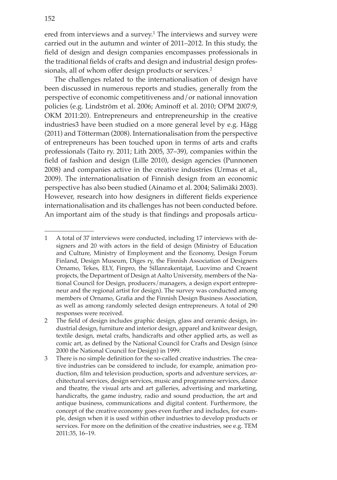ered from interviews and a survey.<sup>1</sup> The interviews and survey were carried out in the autumn and winter of 2011–2012. In this study, the field of design and design companies encompasses professionals in the traditional fields of crafts and design and industrial design professionals, all of whom offer design products or services.<sup>2</sup>

The challenges related to the internationalisation of design have been discussed in numerous reports and studies, generally from the perspective of economic competitiveness and/or national innovation policies (e.g. Lindström et al. 2006; Aminoff et al. 2010; OPM 2007:9, OKM 2011:20). Entrepreneurs and entrepreneurship in the creative industries3 have been studied on a more general level by e.g. Hägg (2011) and Tötterman (2008). Internationalisation from the perspective of entrepreneurs has been touched upon in terms of arts and crafts professionals (Taito ry. 2011; Lith 2005, 37–39), companies within the field of fashion and design (Lille 2010), design agencies (Punnonen 2008) and companies active in the creative industries (Urmas et al., 2009). The internationalisation of Finnish design from an economic perspective has also been studied (Ainamo et al. 2004; Salimäki 2003). However, research into how designers in different fields experience internationalisation and its challenges has not been conducted before. An important aim of the study is that findings and proposals articu-

<sup>1</sup> A total of 37 interviews were conducted, including 17 interviews with designers and 20 with actors in the field of design (Ministry of Education and Culture, Ministry of Employment and the Economy, Design Forum Finland, Design Museum, Diges ry, the Finnish Association of Designers Ornamo, Tekes, ELY, Finpro, the Sillanrakentajat, Luovimo and Creaent projects, the Department of Design at Aalto University, members of the National Council for Design, producers/managers, a design export entrepreneur and the regional artist for design). The survey was conducted among members of Ornamo, Grafia and the Finnish Design Business Association, as well as among randomly selected design entrepreneurs. A total of 290 responses were received.

<sup>2</sup> The field of design includes graphic design, glass and ceramic design, industrial design, furniture and interior design, apparel and knitwear design, textile design, metal crafts, handicrafts and other applied arts, as well as comic art, as defined by the National Council for Crafts and Design (since 2000 the National Council for Design) in 1999.

<sup>3</sup> There is no simple definition for the so-called creative industries. The creative industries can be considered to include, for example, animation production, film and television production, sports and adventure services, architectural services, design services, music and programme services, dance and theatre, the visual arts and art galleries, advertising and marketing, handicrafts, the game industry, radio and sound production, the art and antique business, communications and digital content. Furthermore, the concept of the creative economy goes even further and includes, for example, design when it is used within other industries to develop products or services. For more on the definition of the creative industries, see e.g. TEM 2011:35, 16–19.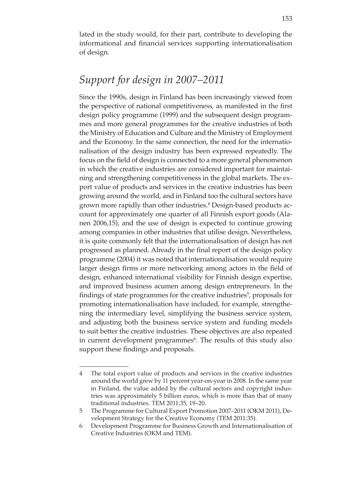lated in the study would, for their part, contribute to developing the informational and financial services supporting internationalisation of design.

## *Support for design in 2007–2011*

Since the 1990s, design in Finland has been increasingly viewed from the perspective of national competitiveness, as manifested in the first design policy programme (1999) and the subsequent design programmes and more general programmes for the creative industries of both the Ministry of Education and Culture and the Ministry of Employment and the Economy. In the same connection, the need for the internationalisation of the design industry has been expressed repeatedly. The focus on the field of design is connected to a more general phenomenon in which the creative industries are considered important for maintaining and strengthening competitiveness in the global markets. The export value of products and services in the creative industries has been growing around the world, and in Finland too the cultural sectors have grown more rapidly than other industries.<sup>4</sup> Design-based products account for approximately one quarter of all Finnish export goods (Alanen 2006,15), and the use of design is expected to continue growing among companies in other industries that utilise design. Nevertheless, it is quite commonly felt that the internationalisation of design has not progressed as planned. Already in the final report of the design policy programme (2004) it was noted that internationalisation would require larger design firms or more networking among actors in the field of design, enhanced international visibility for Finnish design expertise, and improved business acumen among design entrepreneurs. In the findings of state programmes for the creative industries<sup>5</sup>, proposals for promoting internationalisation have included, for example, strengthening the intermediary level, simplifying the business service system, and adjusting both the business service system and funding models to suit better the creative industries. These objectives are also repeated in current development programmes<sup>6</sup>. The results of this study also support these findings and proposals.

<sup>4</sup> The total export value of products and services in the creative industries around the world grew by 11 percent year-on-year in 2008. In the same year in Finland, the value added by the cultural sectors and copyright industries was approximately 5 billion euros, which is more than that of many traditional industries. TEM 2011:35, 19–20.

<sup>5</sup> The Programme for Cultural Export Promotion 2007–2011 (OKM 2011), Development Strategy for the Creative Economy (TEM 2011:35).

<sup>6</sup> Development Programme for Business Growth and Internationalisation of Creative Industries (OKM and TEM).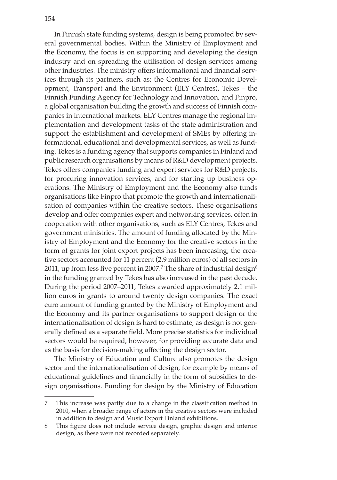In Finnish state funding systems, design is being promoted by several governmental bodies. Within the Ministry of Employment and the Economy, the focus is on supporting and developing the design industry and on spreading the utilisation of design services among other industries. The ministry offers informational and financial services through its partners, such as: the Centres for Economic Development, Transport and the Environment (ELY Centres), Tekes – the Finnish Funding Agency for Technology and Innovation, and Finpro, a global organisation building the growth and success of Finnish companies in international markets. ELY Centres manage the regional implementation and development tasks of the state administration and support the establishment and development of SMEs by offering informational, educational and developmental services, as well as funding. Tekes is a funding agency that supports companies in Finland and public research organisations by means of R&D development projects. Tekes offers companies funding and expert services for R&D projects, for procuring innovation services, and for starting up business operations. The Ministry of Employment and the Economy also funds organisations like Finpro that promote the growth and internationalisation of companies within the creative sectors. These organisations develop and offer companies expert and networking services, often in cooperation with other organisations, such as ELY Centres, Tekes and government ministries. The amount of funding allocated by the Ministry of Employment and the Economy for the creative sectors in the form of grants for joint export projects has been increasing; the creative sectors accounted for 11 percent (2.9 million euros) of all sectors in 2011, up from less five percent in 2007. $^7$  The share of industrial design $^8$ in the funding granted by Tekes has also increased in the past decade. During the period 2007–2011, Tekes awarded approximately 2.1 million euros in grants to around twenty design companies. The exact euro amount of funding granted by the Ministry of Employment and the Economy and its partner organisations to support design or the internationalisation of design is hard to estimate, as design is not generally defined as a separate field. More precise statistics for individual sectors would be required, however, for providing accurate data and as the basis for decision-making affecting the design sector.

The Ministry of Education and Culture also promotes the design sector and the internationalisation of design, for example by means of educational guidelines and financially in the form of subsidies to design organisations. Funding for design by the Ministry of Education

<sup>7</sup> This increase was partly due to a change in the classification method in 2010, when a broader range of actors in the creative sectors were included in addition to design and Music Export Finland exhibitions.

<sup>8</sup> This figure does not include service design, graphic design and interior design, as these were not recorded separately.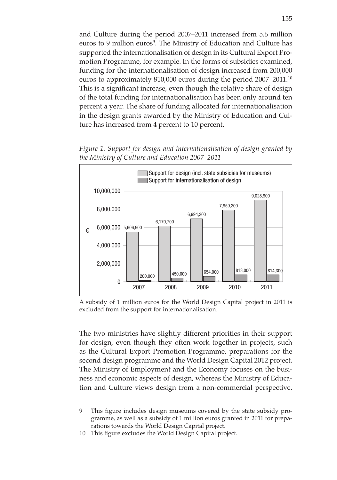and Culture during the period 2007–2011 increased from 5.6 million euros to 9 million euros<sup>9</sup>. The Ministry of Education and Culture has supported the internationalisation of design in its Cultural Export Promotion Programme, for example. In the forms of subsidies examined, funding for the internationalisation of design increased from 200,000 euros to approximately 810,000 euros during the period 2007–2011.10 This is a significant increase, even though the relative share of design of the total funding for internationalisation has been only around ten percent a year. The share of funding allocated for internationalisation in the design grants awarded by the Ministry of Education and Culture has increased from 4 percent to 10 percent.

*Figure 1. Support for design and internationalisation of design granted by the Ministry of Culture and Education 2007–2011*



A subsidy of 1 million euros for the World Design Capital project in 2011 is excluded from the support for internationalisation.

The two ministries have slightly different priorities in their support for design, even though they often work together in projects, such as the Cultural Export Promotion Programme, preparations for the second design programme and the World Design Capital 2012 project. The Ministry of Employment and the Economy focuses on the business and economic aspects of design, whereas the Ministry of Education and Culture views design from a non-commercial perspective.

<sup>9</sup> This figure includes design museums covered by the state subsidy programme, as well as a subsidy of 1 million euros granted in 2011 for preparations towards the World Design Capital project.

<sup>10</sup> This figure excludes the World Design Capital project.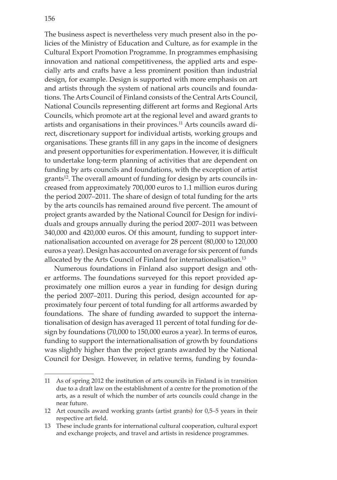The business aspect is nevertheless very much present also in the policies of the Ministry of Education and Culture, as for example in the Cultural Export Promotion Programme. In programmes emphasising innovation and national competitiveness, the applied arts and especially arts and crafts have a less prominent position than industrial design, for example. Design is supported with more emphasis on art and artists through the system of national arts councils and foundations. The Arts Council of Finland consists of the Central Arts Council, National Councils representing different art forms and Regional Arts Councils, which promote art at the regional level and award grants to artists and organisations in their provinces.11 Arts councils award direct, discretionary support for individual artists, working groups and organisations. These grants fill in any gaps in the income of designers and present opportunities for experimentation. However, it is difficult to undertake long-term planning of activities that are dependent on funding by arts councils and foundations, with the exception of artist grants<sup>12</sup>. The overall amount of funding for design by arts councils increased from approximately 700,000 euros to 1.1 million euros during the period 2007–2011. The share of design of total funding for the arts by the arts councils has remained around five percent. The amount of project grants awarded by the National Council for Design for individuals and groups annually during the period 2007–2011 was between 340,000 and 420,000 euros. Of this amount, funding to support internationalisation accounted on average for 28 percent (80,000 to 120,000 euros a year). Design has accounted on average for six percent of funds allocated by the Arts Council of Finland for internationalisation.<sup>13</sup>

Numerous foundations in Finland also support design and other artforms. The foundations surveyed for this report provided approximately one million euros a year in funding for design during the period 2007–2011. During this period, design accounted for approximately four percent of total funding for all artforms awarded by foundations. The share of funding awarded to support the internationalisation of design has averaged 11 percent of total funding for design by foundations (70,000 to 150,000 euros a year). In terms of euros, funding to support the internationalisation of growth by foundations was slightly higher than the project grants awarded by the National Council for Design. However, in relative terms, funding by founda-

<sup>11</sup> As of spring 2012 the institution of arts councils in Finland is in transition due to a draft law on the establishment of a centre for the promotion of the arts, as a result of which the number of arts councils could change in the near future.

<sup>12</sup> Art councils award working grants (artist grants) for 0,5–5 years in their respective art field.

<sup>13</sup> These include grants for international cultural cooperation, cultural export and exchange projects, and travel and artists in residence programmes.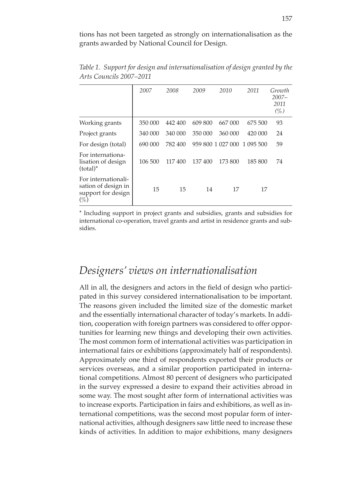tions has not been targeted as strongly on internationalisation as the grants awarded by National Council for Design.

|                                                                            | 2007    | 2008    | 2009    | 2010              | 2011      | Growth<br>$2007 -$<br>2011<br>$(\%)$ |
|----------------------------------------------------------------------------|---------|---------|---------|-------------------|-----------|--------------------------------------|
| Working grants                                                             | 350 000 | 442 400 | 609 800 | 667 000           | 675 500   | 93                                   |
| Project grants                                                             | 340 000 | 340 000 | 350 000 | 360 000           | 420 000   | 24                                   |
| For design (total)                                                         | 690 000 | 782 400 |         | 959 800 1 027 000 | 1 095 500 | 59                                   |
| For internationa-<br>lisation of design<br>$(total)*$                      | 106 500 | 117400  | 137400  | 173 800           | 185 800   | 74                                   |
| For internationali-<br>sation of design in<br>support for design<br>$(\%)$ | 15      | 15      | 14      | 17                | 17        |                                      |

*Table 1. Support for design and internationalisation of design granted by the Arts Councils 2007–2011*

\* Including support in project grants and subsidies, grants and subsidies for international co-operation, travel grants and artist in residence grants and subsidies.

#### *Designers' views on internationalisation*

All in all, the designers and actors in the field of design who participated in this survey considered internationalisation to be important. The reasons given included the limited size of the domestic market and the essentially international character of today's markets. In addition, cooperation with foreign partners was considered to offer opportunities for learning new things and developing their own activities. The most common form of international activities was participation in international fairs or exhibitions (approximately half of respondents). Approximately one third of respondents exported their products or services overseas, and a similar proportion participated in international competitions. Almost 80 percent of designers who participated in the survey expressed a desire to expand their activities abroad in some way. The most sought after form of international activities was to increase exports. Participation in fairs and exhibitions, as well as international competitions, was the second most popular form of international activities, although designers saw little need to increase these kinds of activities. In addition to major exhibitions, many designers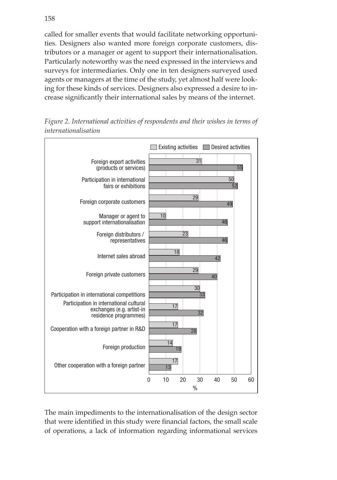called for smaller events that would facilitate networking opportunities. Designers also wanted more foreign corporate customers, distributors or a manager or agent to support their internationalisation. Particularly noteworthy was the need expressed in the interviews and surveys for intermediaries. Only one in ten designers surveyed used agents or managers at the time of the study, yet almost half were looking for these kinds of services. Designers also expressed a desire to increase significantly their international sales by means of the internet.



*Figure 2. International activities of respondents and their wishes in terms of internationalisation*

The main impediments to the internationalisation of the design sector that were identified in this study were financial factors, the small scale of operations, a lack of information regarding informational services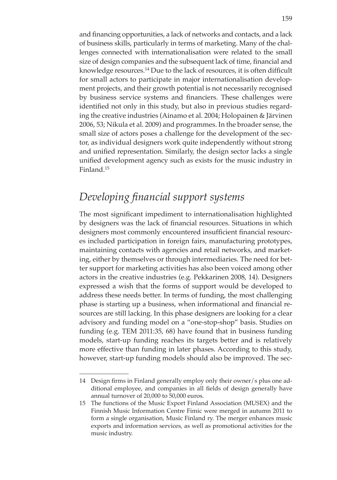and financing opportunities, a lack of networks and contacts, and a lack of business skills, particularly in terms of marketing. Many of the challenges connected with internationalisation were related to the small size of design companies and the subsequent lack of time, financial and knowledge resources.<sup>14</sup> Due to the lack of resources, it is often difficult for small actors to participate in major internationalisation development projects, and their growth potential is not necessarily recognised by business service systems and financiers. These challenges were identified not only in this study, but also in previous studies regarding the creative industries (Ainamo et al. 2004; Holopainen & Järvinen 2006, 53; Nikula et al. 2009) and programmes. In the broader sense, the small size of actors poses a challenge for the development of the sector, as individual designers work quite independently without strong and unified representation. Similarly, the design sector lacks a single unified development agency such as exists for the music industry in Finland.15

## *Developing financial support systems*

The most significant impediment to internationalisation highlighted by designers was the lack of financial resources. Situations in which designers most commonly encountered insufficient financial resources included participation in foreign fairs, manufacturing prototypes, maintaining contacts with agencies and retail networks, and marketing, either by themselves or through intermediaries. The need for better support for marketing activities has also been voiced among other actors in the creative industries (e.g. Pekkarinen 2008, 14). Designers expressed a wish that the forms of support would be developed to address these needs better. In terms of funding, the most challenging phase is starting up a business, when informational and financial resources are still lacking. In this phase designers are looking for a clear advisory and funding model on a "one-stop-shop" basis. Studies on funding (e.g. TEM 2011:35, 68) have found that in business funding models, start-up funding reaches its targets better and is relatively more effective than funding in later phases. According to this study, however, start-up funding models should also be improved. The sec-

<sup>14</sup> Design firms in Finland generally employ only their owner/s plus one additional employee, and companies in all fields of design generally have annual turnover of 20,000 to 50,000 euros.

<sup>15</sup> The functions of the Music Export Finland Association (MUSEX) and the Finnish Music Information Centre Fimic were merged in autumn 2011 to form a single organisation, Music Finland ry. The merger enhances music exports and information services, as well as promotional activities for the music industry.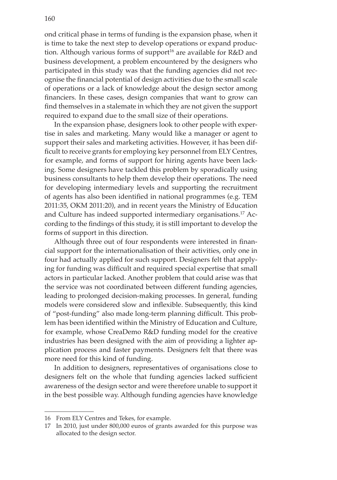ond critical phase in terms of funding is the expansion phase, when it is time to take the next step to develop operations or expand production. Although various forms of support<sup>16</sup> are available for  $R&D$  and business development, a problem encountered by the designers who participated in this study was that the funding agencies did not recognise the financial potential of design activities due to the small scale of operations or a lack of knowledge about the design sector among financiers. In these cases, design companies that want to grow can find themselves in a stalemate in which they are not given the support required to expand due to the small size of their operations.

In the expansion phase, designers look to other people with expertise in sales and marketing. Many would like a manager or agent to support their sales and marketing activities. However, it has been difficult to receive grants for employing key personnel from ELY Centres, for example, and forms of support for hiring agents have been lacking. Some designers have tackled this problem by sporadically using business consultants to help them develop their operations. The need for developing intermediary levels and supporting the recruitment of agents has also been identified in national programmes (e.g. TEM 2011:35, OKM 2011:20), and in recent years the Ministry of Education and Culture has indeed supported intermediary organisations.17 According to the findings of this study, it is still important to develop the forms of support in this direction.

Although three out of four respondents were interested in financial support for the internationalisation of their activities, only one in four had actually applied for such support. Designers felt that applying for funding was difficult and required special expertise that small actors in particular lacked. Another problem that could arise was that the service was not coordinated between different funding agencies, leading to prolonged decision-making processes. In general, funding models were considered slow and inflexible. Subsequently, this kind of "post-funding" also made long-term planning difficult. This problem has been identified within the Ministry of Education and Culture, for example, whose CreaDemo R&D funding model for the creative industries has been designed with the aim of providing a lighter application process and faster payments. Designers felt that there was more need for this kind of funding.

In addition to designers, representatives of organisations close to designers felt on the whole that funding agencies lacked sufficient awareness of the design sector and were therefore unable to support it in the best possible way. Although funding agencies have knowledge

<sup>16</sup> From ELY Centres and Tekes, for example.

<sup>17</sup> In 2010, just under 800,000 euros of grants awarded for this purpose was allocated to the design sector.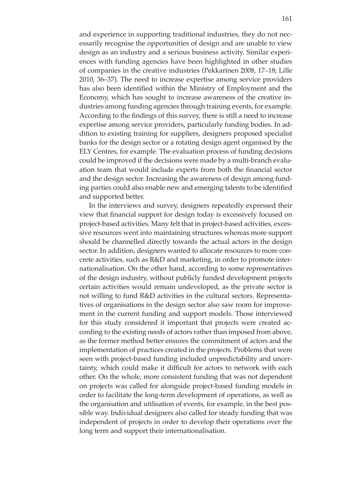and experience in supporting traditional industries, they do not necessarily recognise the opportunities of design and are unable to view design as an industry and a serious business activity. Similar experiences with funding agencies have been highlighted in other studies of companies in the creative industries (Pekkarinen 2008, 17–18; Lille 2010, 36–37). The need to increase expertise among service providers has also been identified within the Ministry of Employment and the Economy, which has sought to increase awareness of the creative industries among funding agencies through training events, for example. According to the findings of this survey, there is still a need to increase expertise among service providers, particularly funding bodies. In addition to existing training for suppliers, designers proposed specialist banks for the design sector or a rotating design agent organised by the ELY Centres, for example. The evaluation process of funding decisions could be improved if the decisions were made by a multi-branch evaluation team that would include experts from both the financial sector and the design sector. Increasing the awareness of design among funding parties could also enable new and emerging talents to be identified and supported better.

In the interviews and survey, designers repeatedly expressed their view that financial support for design today is excessively focused on project-based activities. Many felt that in project-based activities, excessive resources went into maintaining structures whereas more support should be channelled directly towards the actual actors in the design sector. In addition, designers wanted to allocate resources to more concrete activities, such as R&D and marketing, in order to promote internationalisation. On the other hand, according to some representatives of the design industry, without publicly funded development projects certain activities would remain undeveloped, as the private sector is not willing to fund R&D activities in the cultural sectors. Representatives of organisations in the design sector also saw room for improvement in the current funding and support models. Those interviewed for this study considered it important that projects were created according to the existing needs of actors rather than imposed from above, as the former method better ensures the commitment of actors and the implementation of practices created in the projects. Problems that were seen with project-based funding included unpredictability and uncertainty, which could make it difficult for actors to network with each other. On the whole, more consistent funding that was not dependent on projects was called for alongside project-based funding models in order to facilitate the long-term development of operations, as well as the organisation and utilisation of events, for example, in the best possible way. Individual designers also called for steady funding that was independent of projects in order to develop their operations over the long term and support their internationalisation.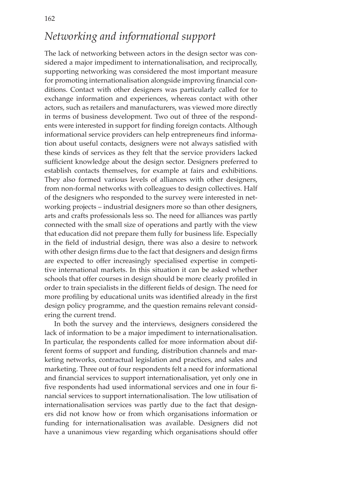### *Networking and informational support*

The lack of networking between actors in the design sector was considered a major impediment to internationalisation, and reciprocally, supporting networking was considered the most important measure for promoting internationalisation alongside improving financial conditions. Contact with other designers was particularly called for to exchange information and experiences, whereas contact with other actors, such as retailers and manufacturers, was viewed more directly in terms of business development. Two out of three of the respondents were interested in support for finding foreign contacts. Although informational service providers can help entrepreneurs find information about useful contacts, designers were not always satisfied with these kinds of services as they felt that the service providers lacked sufficient knowledge about the design sector. Designers preferred to establish contacts themselves, for example at fairs and exhibitions. They also formed various levels of alliances with other designers, from non-formal networks with colleagues to design collectives. Half of the designers who responded to the survey were interested in networking projects – industrial designers more so than other designers, arts and crafts professionals less so. The need for alliances was partly connected with the small size of operations and partly with the view that education did not prepare them fully for business life. Especially in the field of industrial design, there was also a desire to network with other design firms due to the fact that designers and design firms are expected to offer increasingly specialised expertise in competitive international markets. In this situation it can be asked whether schools that offer courses in design should be more clearly profiled in order to train specialists in the different fields of design. The need for more profiling by educational units was identified already in the first design policy programme, and the question remains relevant considering the current trend.

In both the survey and the interviews, designers considered the lack of information to be a major impediment to internationalisation. In particular, the respondents called for more information about different forms of support and funding, distribution channels and marketing networks, contractual legislation and practices, and sales and marketing. Three out of four respondents felt a need for informational and financial services to support internationalisation, yet only one in five respondents had used informational services and one in four financial services to support internationalisation. The low utilisation of internationalisation services was partly due to the fact that designers did not know how or from which organisations information or funding for internationalisation was available. Designers did not have a unanimous view regarding which organisations should offer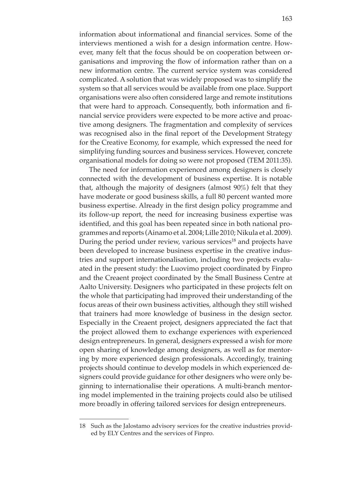information about informational and financial services. Some of the interviews mentioned a wish for a design information centre. However, many felt that the focus should be on cooperation between organisations and improving the flow of information rather than on a new information centre. The current service system was considered complicated. A solution that was widely proposed was to simplify the system so that all services would be available from one place. Support organisations were also often considered large and remote institutions that were hard to approach. Consequently, both information and financial service providers were expected to be more active and proactive among designers. The fragmentation and complexity of services was recognised also in the final report of the Development Strategy for the Creative Economy, for example, which expressed the need for simplifying funding sources and business services. However, concrete organisational models for doing so were not proposed (TEM 2011:35).

The need for information experienced among designers is closely connected with the development of business expertise. It is notable that, although the majority of designers (almost 90%) felt that they have moderate or good business skills, a full 80 percent wanted more business expertise. Already in the first design policy programme and its follow-up report, the need for increasing business expertise was identified, and this goal has been repeated since in both national programmes and reports (Ainamo et al. 2004; Lille 2010; Nikula et al. 2009). During the period under review, various services<sup>18</sup> and projects have been developed to increase business expertise in the creative industries and support internationalisation, including two projects evaluated in the present study: the Luovimo project coordinated by Finpro and the Creaent project coordinated by the Small Business Centre at Aalto University. Designers who participated in these projects felt on the whole that participating had improved their understanding of the focus areas of their own business activities, although they still wished that trainers had more knowledge of business in the design sector. Especially in the Creaent project, designers appreciated the fact that the project allowed them to exchange experiences with experienced design entrepreneurs. In general, designers expressed a wish for more open sharing of knowledge among designers, as well as for mentoring by more experienced design professionals. Accordingly, training projects should continue to develop models in which experienced designers could provide guidance for other designers who were only beginning to internationalise their operations. A multi-branch mentoring model implemented in the training projects could also be utilised more broadly in offering tailored services for design entrepreneurs.

<sup>18</sup> Such as the Jalostamo advisory services for the creative industries provided by ELY Centres and the services of Finpro.